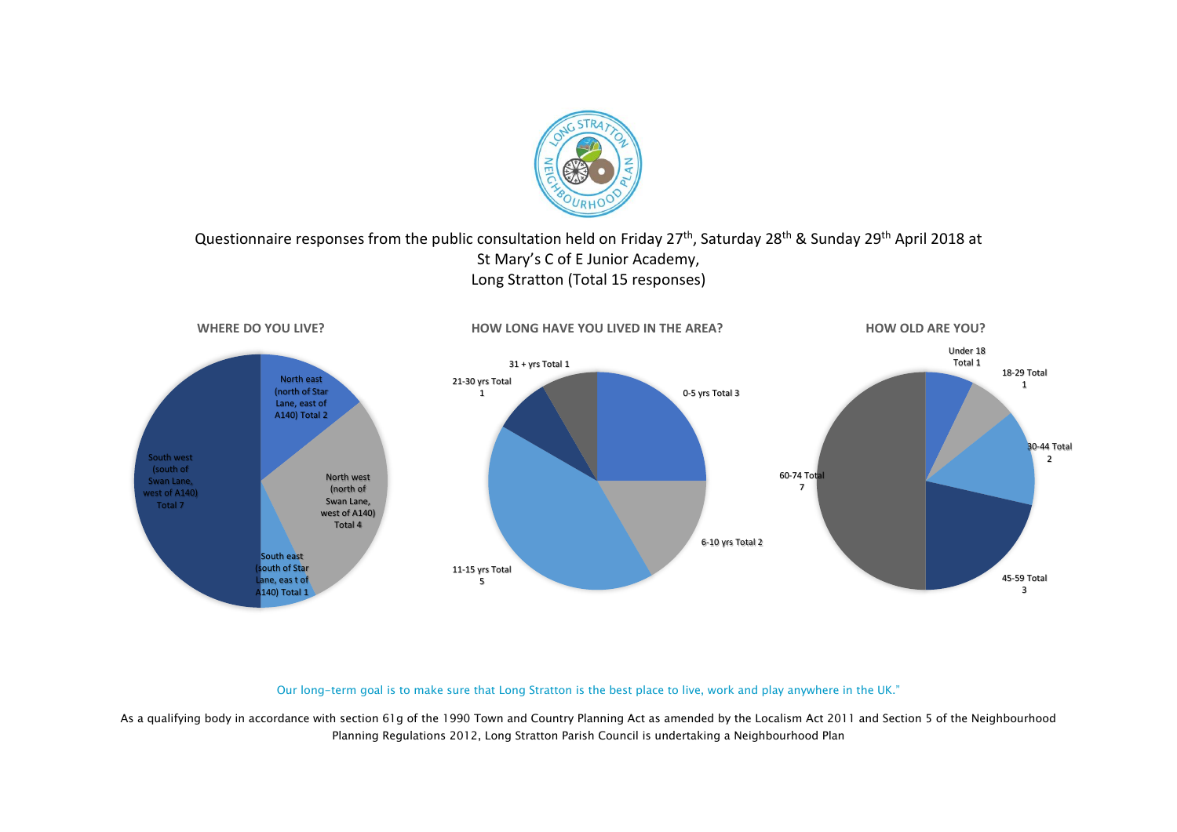

#### Questionnaire responses from the public consultation held on Friday 27<sup>th</sup>, Saturday 28<sup>th</sup> & Sunday 29<sup>th</sup> April 2018 at St Mary's C of E Junior Academy, Long Stratton (Total 15 responses)



Our long-term goal is to make sure that Long Stratton is the best place to live, work and play anywhere in the UK."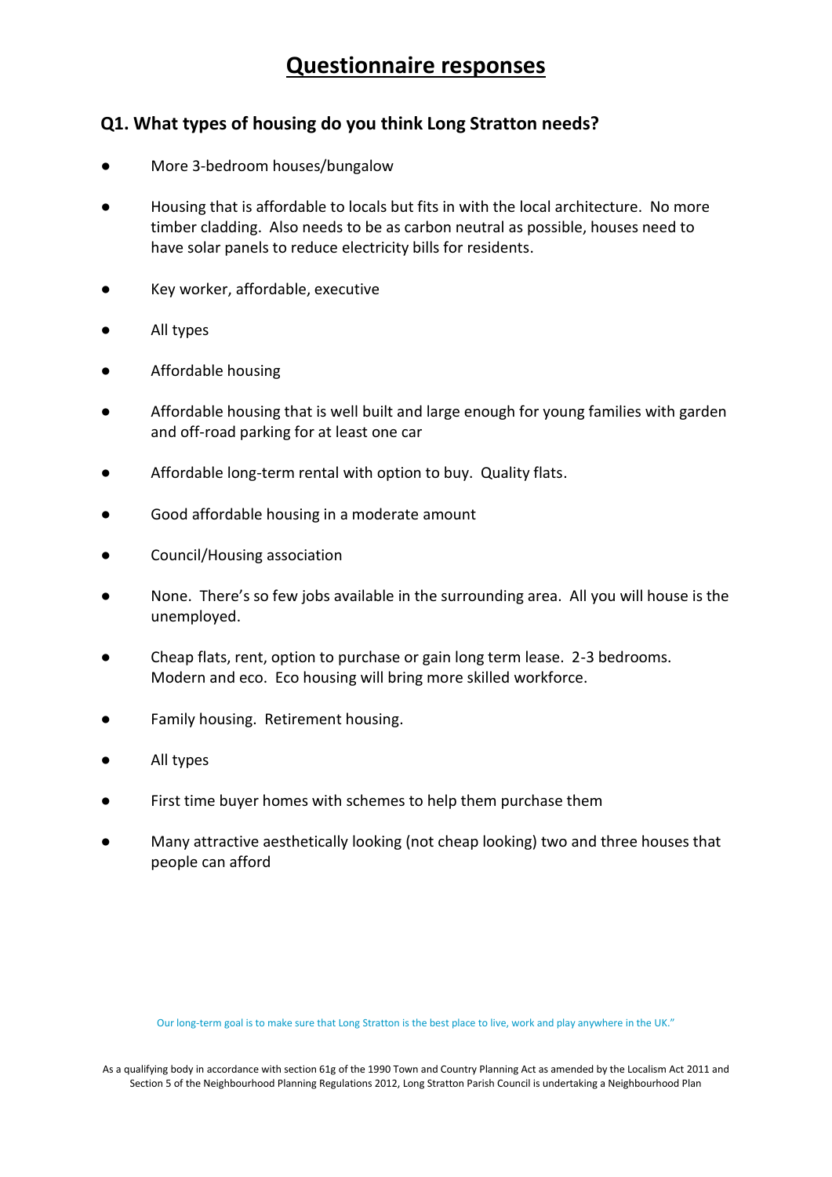#### **Q1. What types of housing do you think Long Stratton needs?**

- More 3-bedroom houses/bungalow
- Housing that is affordable to locals but fits in with the local architecture. No more timber cladding. Also needs to be as carbon neutral as possible, houses need to have solar panels to reduce electricity bills for residents.
- Key worker, affordable, executive
- All types
- Affordable housing
- Affordable housing that is well built and large enough for young families with garden and off-road parking for at least one car
- Affordable long-term rental with option to buy. Quality flats.
- Good affordable housing in a moderate amount
- Council/Housing association
- None. There's so few jobs available in the surrounding area. All you will house is the unemployed.
- Cheap flats, rent, option to purchase or gain long term lease. 2-3 bedrooms. Modern and eco. Eco housing will bring more skilled workforce.
- Family housing. Retirement housing.
- All types
- First time buyer homes with schemes to help them purchase them
- Many attractive aesthetically looking (not cheap looking) two and three houses that people can afford

Our long-term goal is to make sure that Long Stratton is the best place to live, work and play anywhere in the UK."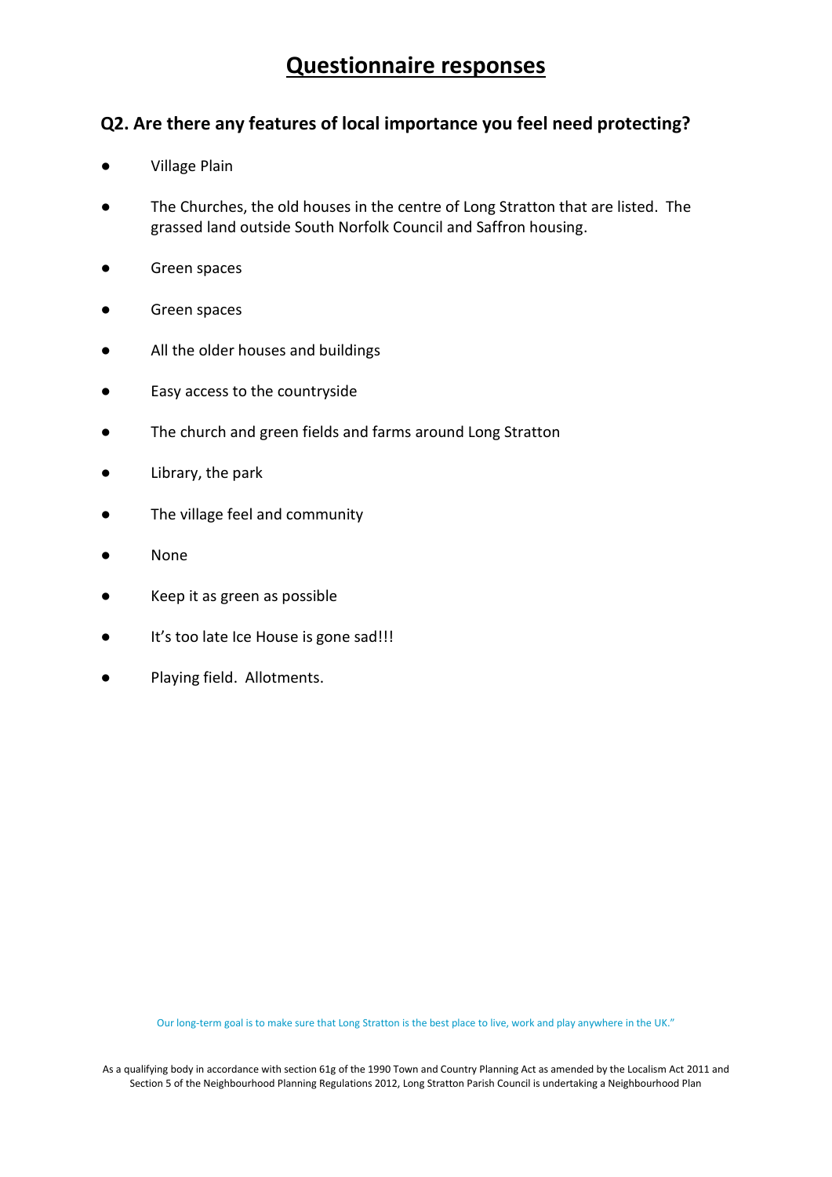#### **Q2. Are there any features of local importance you feel need protecting?**

- **Village Plain**
- The Churches, the old houses in the centre of Long Stratton that are listed. The grassed land outside South Norfolk Council and Saffron housing.
- Green spaces
- Green spaces
- All the older houses and buildings
- Easy access to the countryside
- The church and green fields and farms around Long Stratton
- Library, the park
- The village feel and community
- **None**
- Keep it as green as possible
- It's too late Ice House is gone sad!!!
- Playing field. Allotments.

Our long-term goal is to make sure that Long Stratton is the best place to live, work and play anywhere in the UK."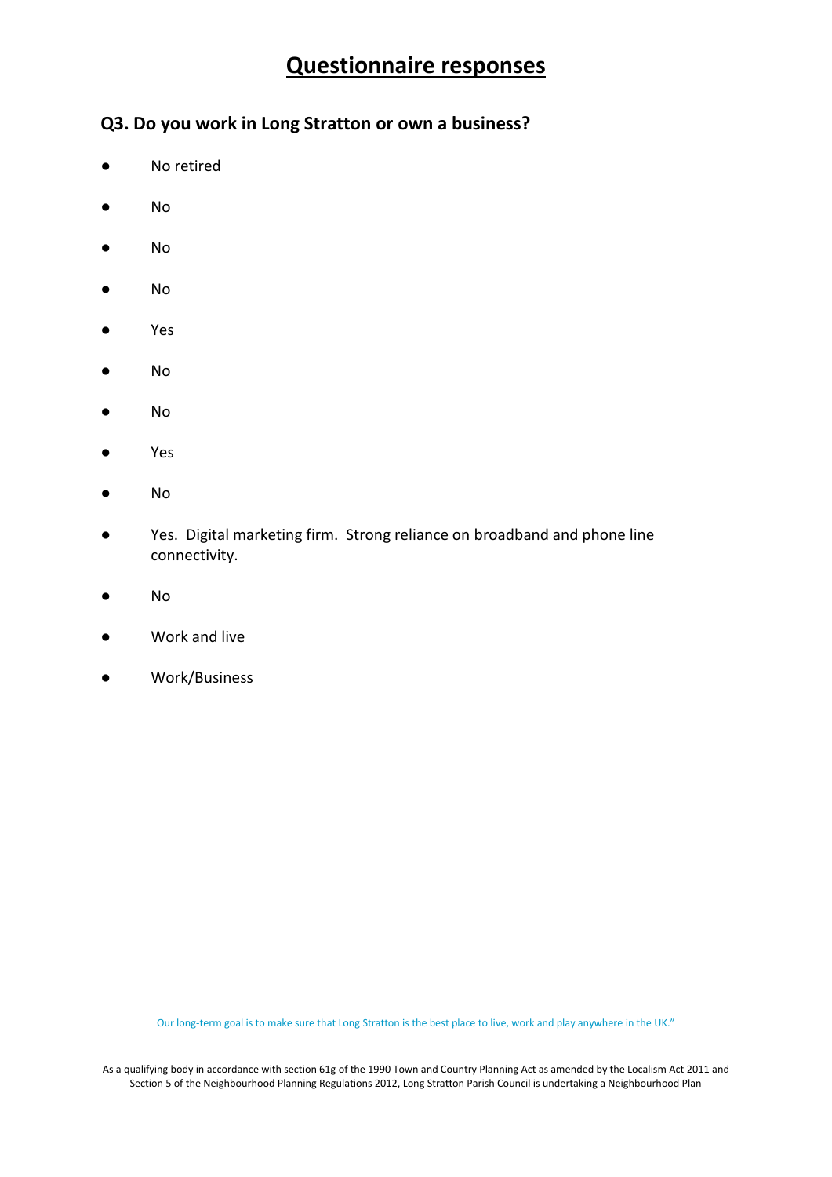#### **Q3. Do you work in Long Stratton or own a business?**

- No retired
- No
- No
- No
- Yes
- No
- No
- Yes
- No
- Yes. Digital marketing firm. Strong reliance on broadband and phone line connectivity.
- No
- Work and live
- Work/Business

Our long-term goal is to make sure that Long Stratton is the best place to live, work and play anywhere in the UK."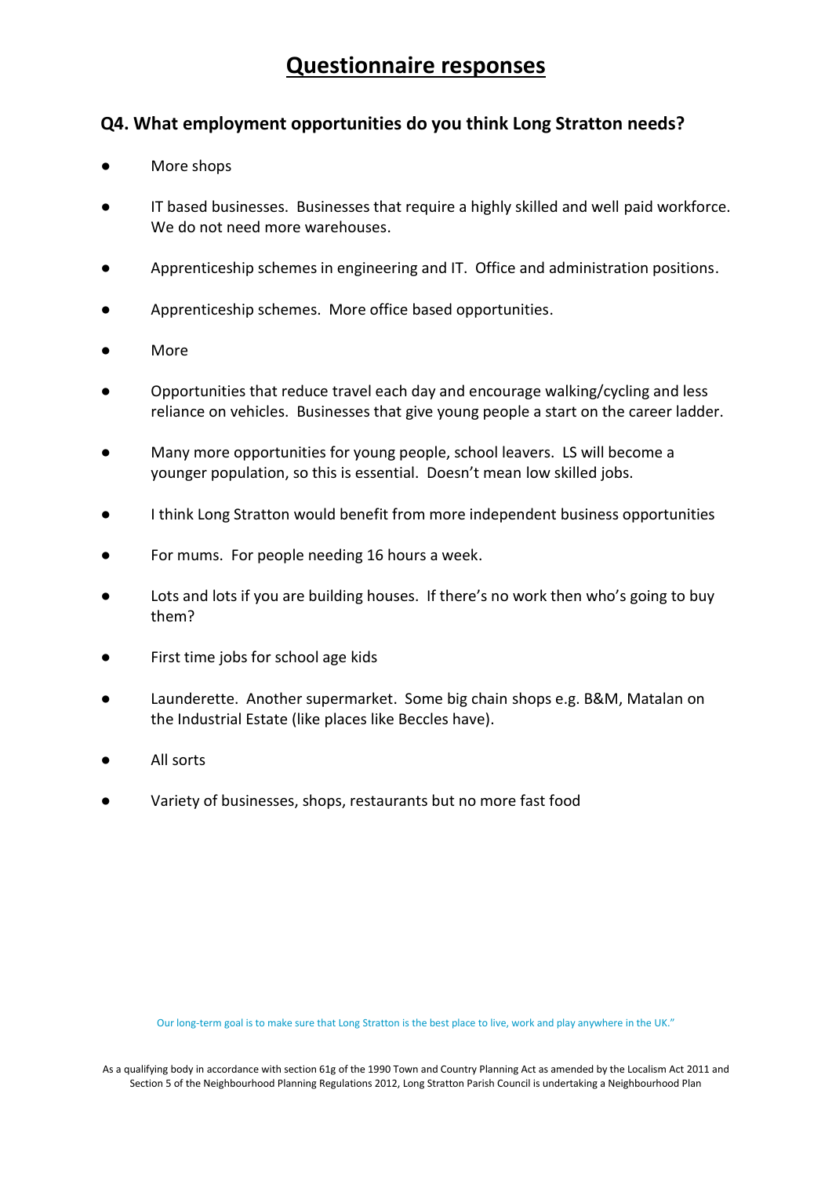#### **Q4. What employment opportunities do you think Long Stratton needs?**

- More shops
- IT based businesses. Businesses that require a highly skilled and well paid workforce. We do not need more warehouses.
- Apprenticeship schemes in engineering and IT. Office and administration positions.
- Apprenticeship schemes. More office based opportunities.
- More
- Opportunities that reduce travel each day and encourage walking/cycling and less reliance on vehicles. Businesses that give young people a start on the career ladder.
- Many more opportunities for young people, school leavers. LS will become a younger population, so this is essential. Doesn't mean low skilled jobs.
- I think Long Stratton would benefit from more independent business opportunities
- For mums. For people needing 16 hours a week.
- Lots and lots if you are building houses. If there's no work then who's going to buy them?
- First time jobs for school age kids
- Launderette. Another supermarket. Some big chain shops e.g. B&M, Matalan on the Industrial Estate (like places like Beccles have).
- All sorts
- Variety of businesses, shops, restaurants but no more fast food

Our long-term goal is to make sure that Long Stratton is the best place to live, work and play anywhere in the UK."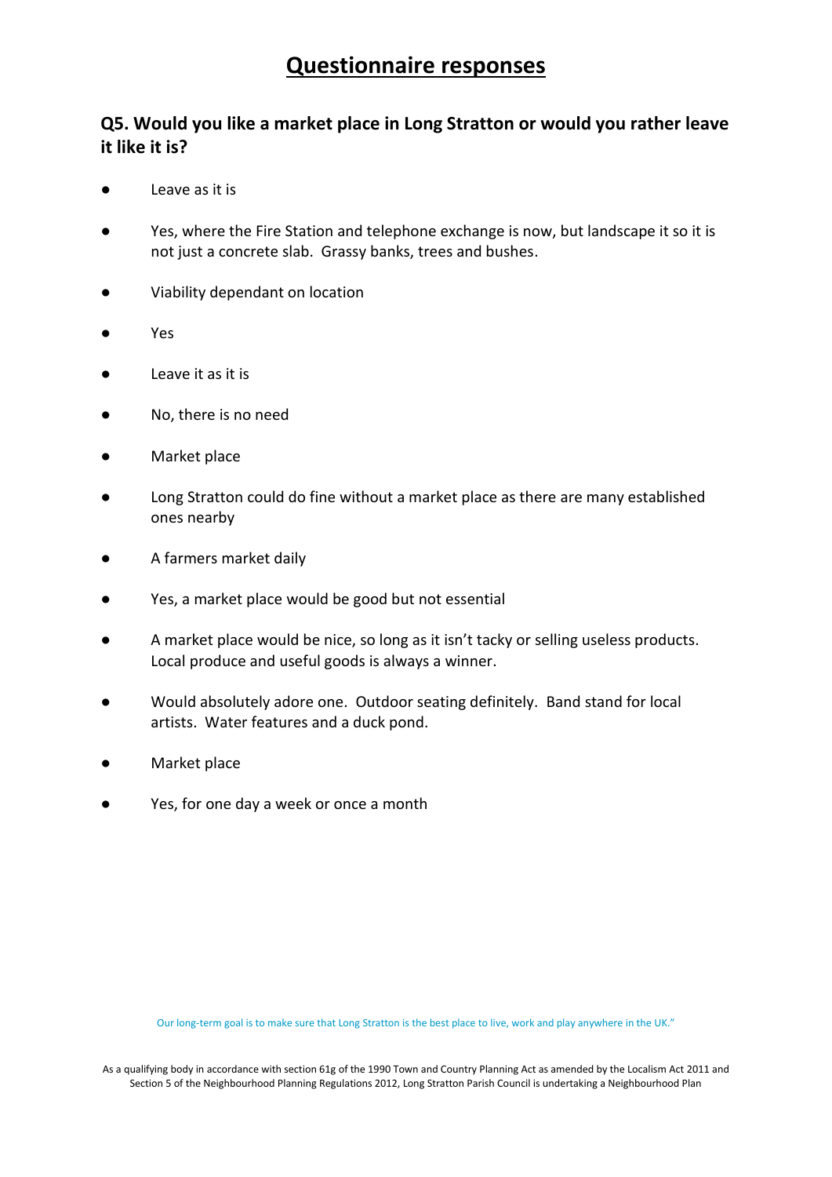### **Q5. Would you like a market place in Long Stratton or would you rather leave it like it is?**

- **●** Leave as it is
- Yes, where the Fire Station and telephone exchange is now, but landscape it so it is not just a concrete slab. Grassy banks, trees and bushes.
- Viability dependant on location
- Yes
- Leave it as it is
- No, there is no need
- Market place
- Long Stratton could do fine without a market place as there are many established ones nearby
- A farmers market daily
- Yes, a market place would be good but not essential
- A market place would be nice, so long as it isn't tacky or selling useless products. Local produce and useful goods is always a winner.
- Would absolutely adore one. Outdoor seating definitely. Band stand for local artists. Water features and a duck pond.
- Market place
- Yes, for one day a week or once a month

Our long-term goal is to make sure that Long Stratton is the best place to live, work and play anywhere in the UK."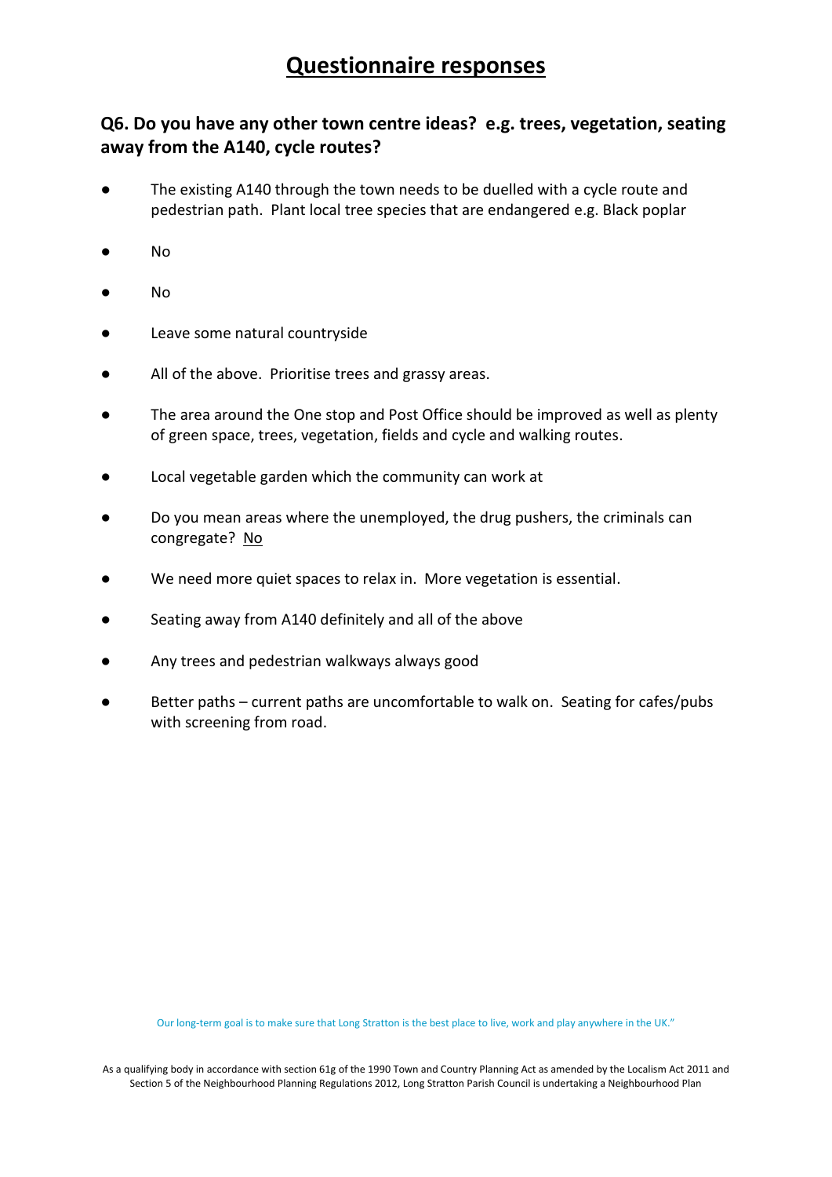### **Q6. Do you have any other town centre ideas? e.g. trees, vegetation, seating away from the A140, cycle routes?**

- The existing A140 through the town needs to be duelled with a cycle route and pedestrian path. Plant local tree species that are endangered e.g. Black poplar
- No
- No
- Leave some natural countryside
- All of the above. Prioritise trees and grassy areas.
- The area around the One stop and Post Office should be improved as well as plenty of green space, trees, vegetation, fields and cycle and walking routes.
- Local vegetable garden which the community can work at
- Do you mean areas where the unemployed, the drug pushers, the criminals can congregate? No
- We need more quiet spaces to relax in. More vegetation is essential.
- Seating away from A140 definitely and all of the above
- Any trees and pedestrian walkways always good
- Better paths current paths are uncomfortable to walk on. Seating for cafes/pubs with screening from road.

Our long-term goal is to make sure that Long Stratton is the best place to live, work and play anywhere in the UK."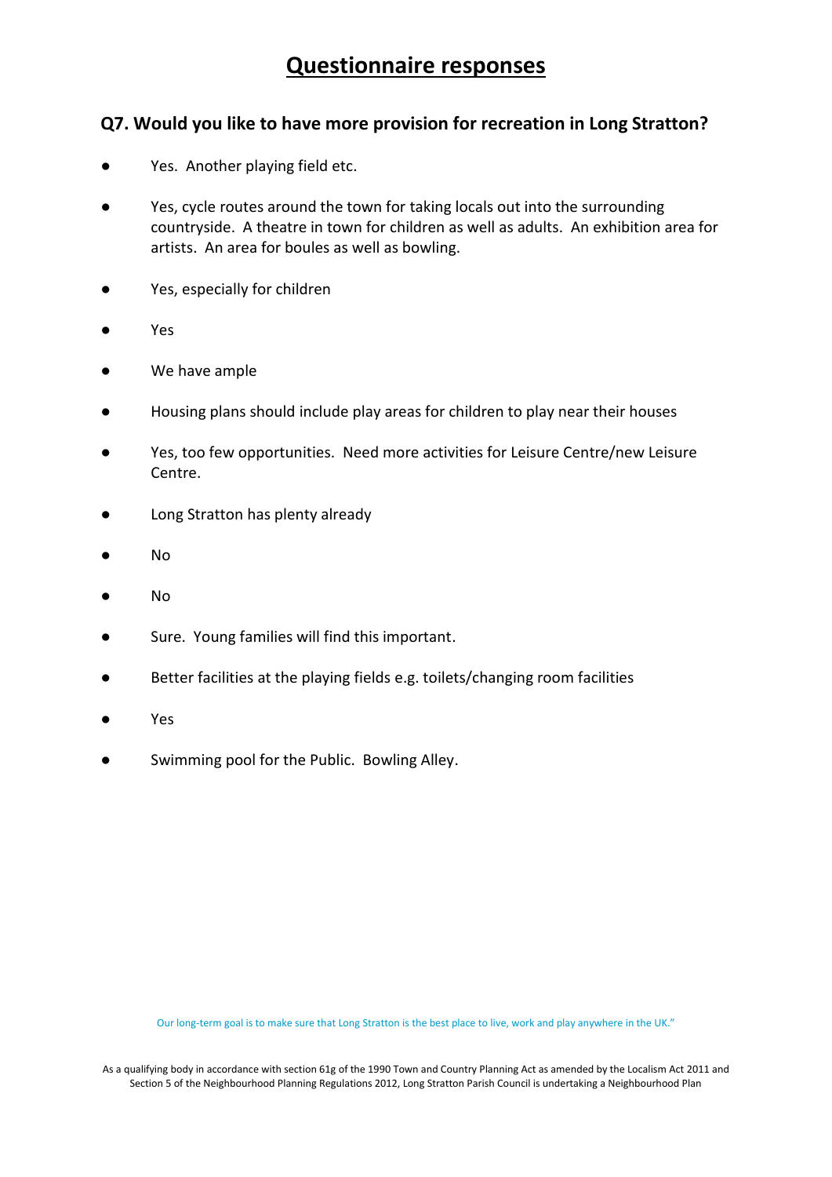#### **Q7. Would you like to have more provision for recreation in Long Stratton?**

- Yes. Another playing field etc.
- Yes, cycle routes around the town for taking locals out into the surrounding countryside. A theatre in town for children as well as adults. An exhibition area for artists. An area for boules as well as bowling.
- Yes, especially for children
- Yes
- We have ample
- Housing plans should include play areas for children to play near their houses
- Yes, too few opportunities. Need more activities for Leisure Centre/new Leisure Centre.
- Long Stratton has plenty already
- No
- No
- Sure. Young families will find this important.
- Better facilities at the playing fields e.g. toilets/changing room facilities
- **Yes**
- Swimming pool for the Public. Bowling Alley.

Our long-term goal is to make sure that Long Stratton is the best place to live, work and play anywhere in the UK."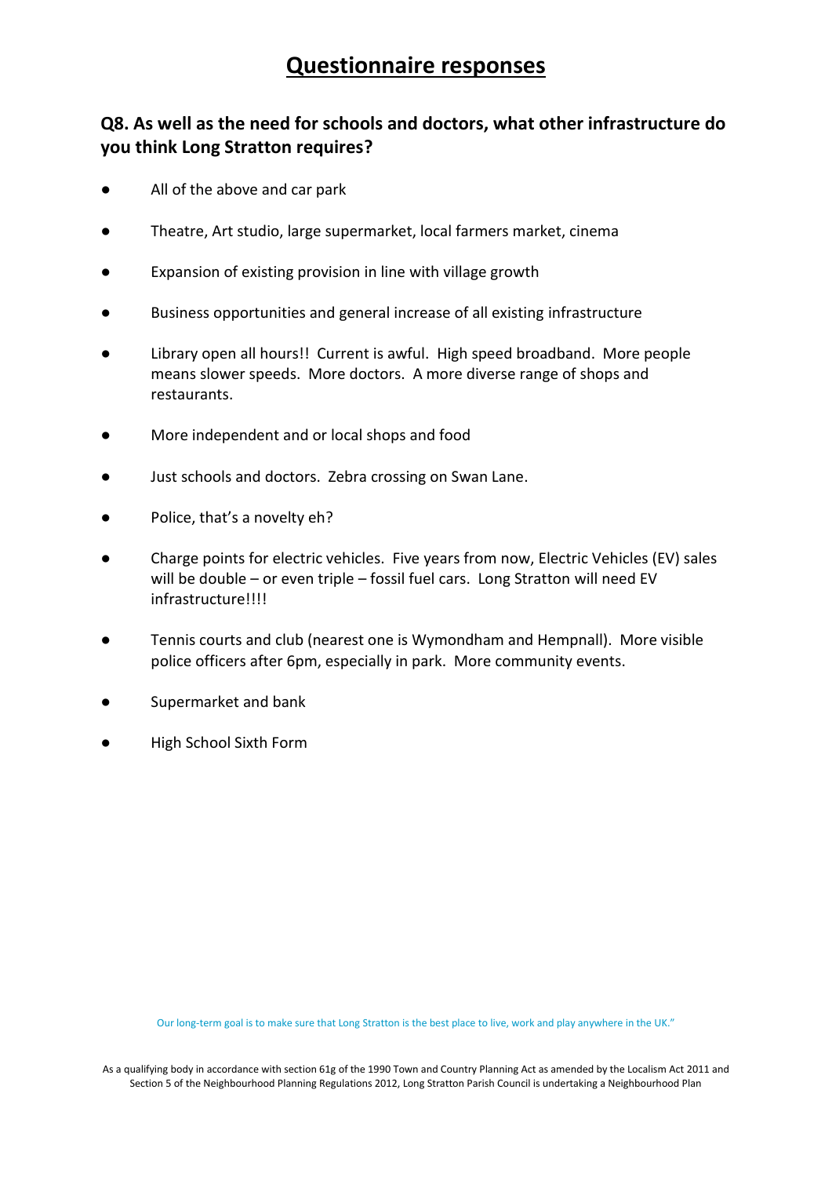### **Q8. As well as the need for schools and doctors, what other infrastructure do you think Long Stratton requires?**

- All of the above and car park
- Theatre, Art studio, large supermarket, local farmers market, cinema
- Expansion of existing provision in line with village growth
- Business opportunities and general increase of all existing infrastructure
- Library open all hours!! Current is awful. High speed broadband. More people means slower speeds. More doctors. A more diverse range of shops and restaurants.
- More independent and or local shops and food
- Just schools and doctors. Zebra crossing on Swan Lane.
- Police, that's a novelty eh?
- Charge points for electric vehicles. Five years from now, Electric Vehicles (EV) sales will be double – or even triple – fossil fuel cars. Long Stratton will need EV infrastructure!!!!
- Tennis courts and club (nearest one is Wymondham and Hempnall). More visible police officers after 6pm, especially in park. More community events.
- Supermarket and bank
- **High School Sixth Form**

Our long-term goal is to make sure that Long Stratton is the best place to live, work and play anywhere in the UK."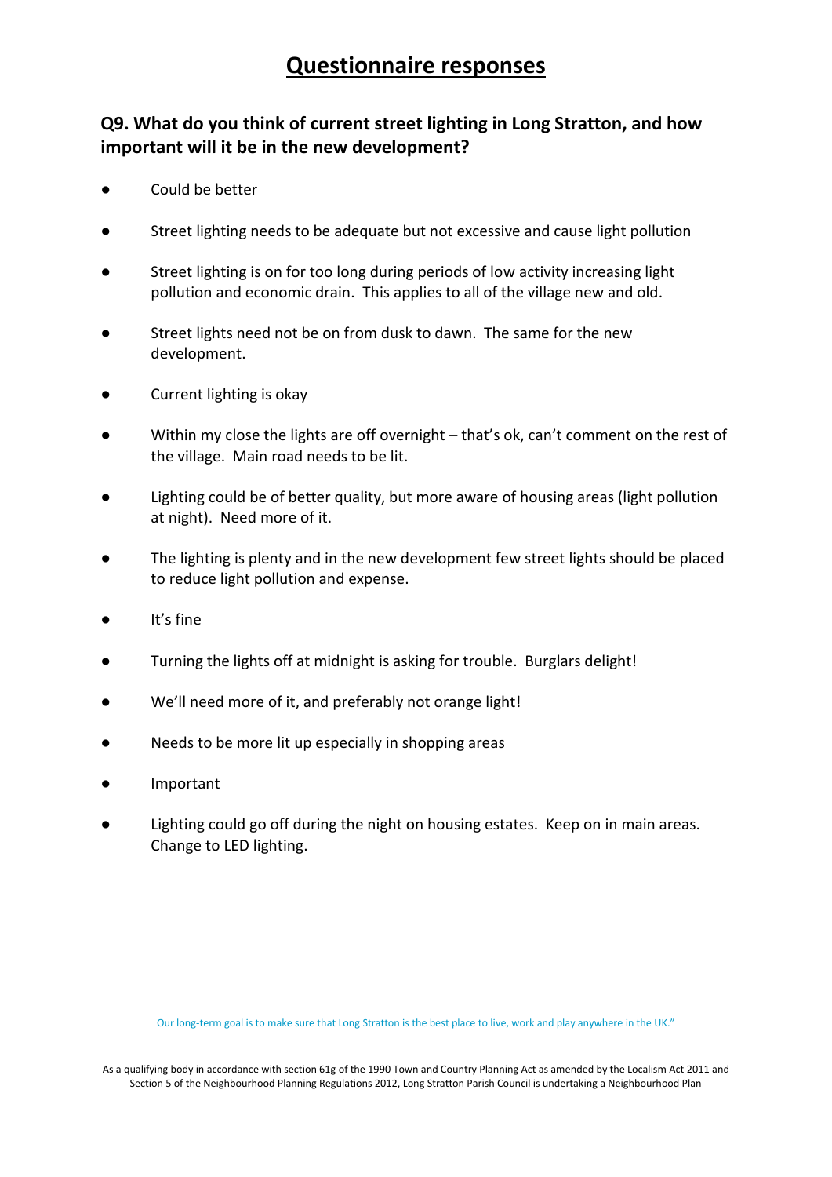### **Q9. What do you think of current street lighting in Long Stratton, and how important will it be in the new development?**

- Could be better
- Street lighting needs to be adequate but not excessive and cause light pollution
- Street lighting is on for too long during periods of low activity increasing light pollution and economic drain. This applies to all of the village new and old.
- Street lights need not be on from dusk to dawn. The same for the new development.
- Current lighting is okay
- Within my close the lights are off overnight that's ok, can't comment on the rest of the village. Main road needs to be lit.
- Lighting could be of better quality, but more aware of housing areas (light pollution at night). Need more of it.
- The lighting is plenty and in the new development few street lights should be placed to reduce light pollution and expense.
- It's fine
- Turning the lights off at midnight is asking for trouble. Burglars delight!
- We'll need more of it, and preferably not orange light!
- Needs to be more lit up especially in shopping areas
- **Important**
- Lighting could go off during the night on housing estates. Keep on in main areas. Change to LED lighting.

Our long-term goal is to make sure that Long Stratton is the best place to live, work and play anywhere in the UK."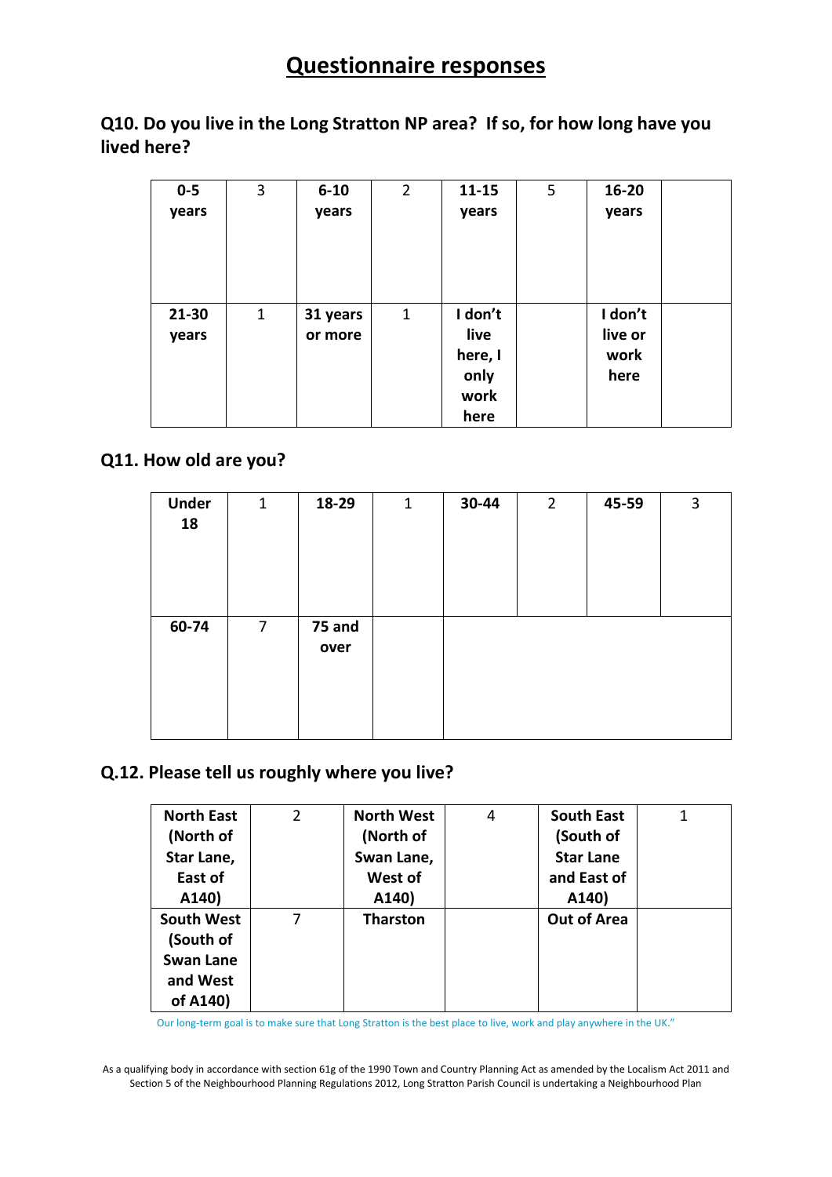### **Q10. Do you live in the Long Stratton NP area? If so, for how long have you lived here?**

| $0-5$ | 3           | $6 - 10$ | $\overline{2}$ | $11 - 15$ | 5 | 16-20   |  |
|-------|-------------|----------|----------------|-----------|---|---------|--|
| years |             | years    |                | years     |   | years   |  |
|       |             |          |                |           |   |         |  |
|       |             |          |                |           |   |         |  |
|       |             |          |                |           |   |         |  |
|       |             |          |                |           |   |         |  |
| 21-30 | $\mathbf 1$ | 31 years | 1              | I don't   |   | I don't |  |
| years |             | or more  |                | live      |   | live or |  |
|       |             |          |                | here, I   |   | work    |  |
|       |             |          |                | only      |   | here    |  |
|       |             |          |                | work      |   |         |  |
|       |             |          |                | here      |   |         |  |

### **Q11. How old are you?**

| <b>Under</b><br>18 | $\mathbf{1}$   | 18-29          | $\mathbf 1$ | 30-44 | $2^{\circ}$ | 45-59 | 3 |
|--------------------|----------------|----------------|-------------|-------|-------------|-------|---|
| 60-74              | $\overline{7}$ | 75 and<br>over |             |       |             |       |   |

### **Q.12. Please tell us roughly where you live?**

| <b>North East</b> | 2 | <b>North West</b> | 4 | <b>South East</b>  |  |
|-------------------|---|-------------------|---|--------------------|--|
| (North of         |   | (North of         |   | (South of          |  |
| Star Lane,        |   | Swan Lane,        |   | <b>Star Lane</b>   |  |
| East of           |   | West of           |   | and East of        |  |
| A140)             |   | A140)             |   | A140)              |  |
| <b>South West</b> |   | <b>Tharston</b>   |   | <b>Out of Area</b> |  |
| (South of         |   |                   |   |                    |  |
| <b>Swan Lane</b>  |   |                   |   |                    |  |
| and West          |   |                   |   |                    |  |
| of A140)          |   |                   |   |                    |  |

Our long-term goal is to make sure that Long Stratton is the best place to live, work and play anywhere in the UK."